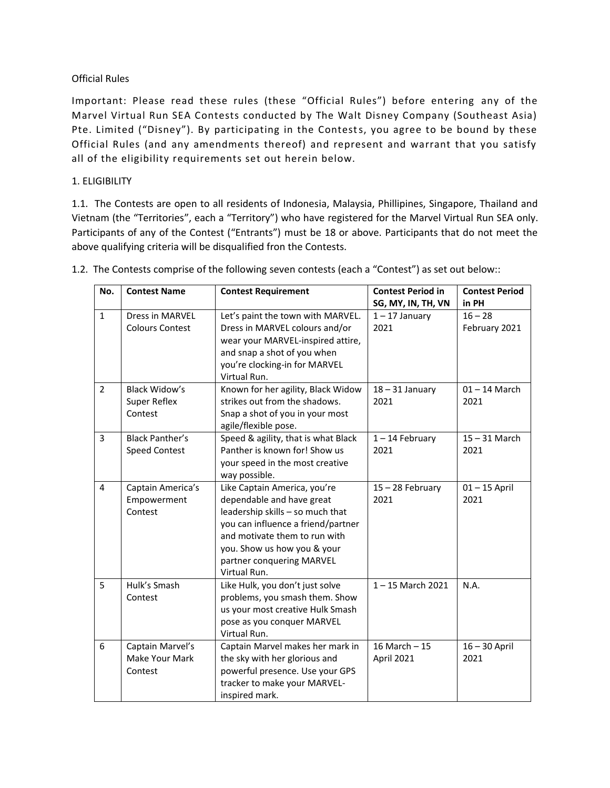### Official Rules

Important: Please read these rules (these "Official Rules") before entering any of the Marvel Virtual Run SEA Contests conducted by The Walt Disney Company (Southeast Asia) Pte. Limited ("Disney"). By participating in the Contests, you agree to be bound by these Official Rules (and any amendments thereof) and represent and warrant that you satisfy all of the eligibility requirements set out herein below.

### 1. ELIGIBILITY

1.1. The Contests are open to all residents of Indonesia, Malaysia, Phillipines, Singapore, Thailand and Vietnam (the "Territories", each a "Territory") who have registered for the Marvel Virtual Run SEA only. Participants of any of the Contest ("Entrants") must be 18 or above. Participants that do not meet the above qualifying criteria will be disqualified fron the Contests.

| No.<br><b>Contest Name</b> |                                                                                                                                                                                                         | <b>Contest Requirement</b>                                                                                                                                                                                                                       | <b>Contest Period in</b>     | <b>Contest Period</b>      |  |
|----------------------------|---------------------------------------------------------------------------------------------------------------------------------------------------------------------------------------------------------|--------------------------------------------------------------------------------------------------------------------------------------------------------------------------------------------------------------------------------------------------|------------------------------|----------------------------|--|
|                            |                                                                                                                                                                                                         |                                                                                                                                                                                                                                                  | SG, MY, IN, TH, VN           | in PH                      |  |
| $\mathbf{1}$               | <b>Dress in MARVEL</b><br><b>Colours Contest</b>                                                                                                                                                        | Let's paint the town with MARVEL.<br>Dress in MARVEL colours and/or<br>wear your MARVEL-inspired attire,<br>and snap a shot of you when<br>you're clocking-in for MARVEL<br>Virtual Run.                                                         | $1 - 17$ January<br>2021     | $16 - 28$<br>February 2021 |  |
| $\overline{2}$             | Black Widow's<br>Super Reflex<br>Contest                                                                                                                                                                | Known for her agility, Black Widow<br>strikes out from the shadows.<br>Snap a shot of you in your most<br>agile/flexible pose.                                                                                                                   | $18 - 31$ January<br>2021    | $01 - 14$ March<br>2021    |  |
| $\overline{3}$             | <b>Black Panther's</b><br><b>Speed Contest</b>                                                                                                                                                          | Speed & agility, that is what Black<br>Panther is known for! Show us<br>your speed in the most creative<br>way possible.                                                                                                                         | $1 - 14$ February<br>2021    | $15 - 31$ March<br>2021    |  |
| 4                          | Captain America's<br>Empowerment<br>Contest                                                                                                                                                             | Like Captain America, you're<br>dependable and have great<br>leadership skills - so much that<br>you can influence a friend/partner<br>and motivate them to run with<br>you. Show us how you & your<br>partner conquering MARVEL<br>Virtual Run. | 15 - 28 February<br>2021     | $01 - 15$ April<br>2021    |  |
| 5                          | Hulk's Smash<br>Contest                                                                                                                                                                                 | Like Hulk, you don't just solve<br>problems, you smash them. Show<br>us your most creative Hulk Smash<br>pose as you conquer MARVEL<br>Virtual Run.                                                                                              | $1 - 15$ March 2021          | N.A.                       |  |
| 6                          | Captain Marvel's<br>Captain Marvel makes her mark in<br>Make Your Mark<br>the sky with her glorious and<br>powerful presence. Use your GPS<br>Contest<br>tracker to make your MARVEL-<br>inspired mark. |                                                                                                                                                                                                                                                  | 16 March $-15$<br>April 2021 | $16 - 30$ April<br>2021    |  |

1.2. The Contests comprise of the following seven contests (each a "Contest") as set out below::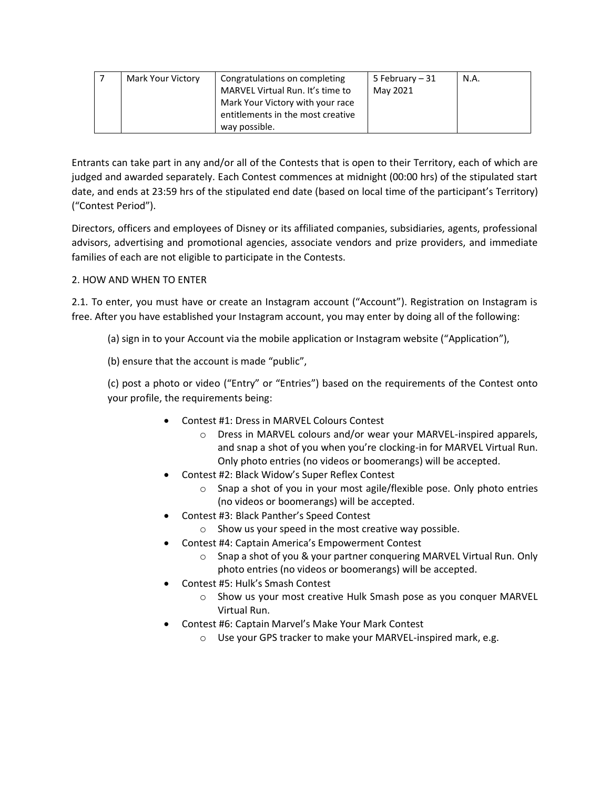| Mark Your Victory | Congratulations on completing<br>MARVEL Virtual Run. It's time to<br>Mark Your Victory with your race | 5 February – 31<br>May 2021 | N.A. |
|-------------------|-------------------------------------------------------------------------------------------------------|-----------------------------|------|
|                   | entitlements in the most creative                                                                     |                             |      |
|                   | way possible.                                                                                         |                             |      |

Entrants can take part in any and/or all of the Contests that is open to their Territory, each of which are judged and awarded separately. Each Contest commences at midnight (00:00 hrs) of the stipulated start date, and ends at 23:59 hrs of the stipulated end date (based on local time of the participant's Territory) ("Contest Period").

Directors, officers and employees of Disney or its affiliated companies, subsidiaries, agents, professional advisors, advertising and promotional agencies, associate vendors and prize providers, and immediate families of each are not eligible to participate in the Contests.

## 2. HOW AND WHEN TO ENTER

2.1. To enter, you must have or create an Instagram account ("Account"). Registration on Instagram is free. After you have established your Instagram account, you may enter by doing all of the following:

(a) sign in to your Account via the mobile application or Instagram website ("Application"),

(b) ensure that the account is made "public",

(c) post a photo or video ("Entry" or "Entries") based on the requirements of the Contest onto your profile, the requirements being:

- Contest #1: Dress in MARVEL Colours Contest
	- o Dress in MARVEL colours and/or wear your MARVEL-inspired apparels, and snap a shot of you when you're clocking-in for MARVEL Virtual Run. Only photo entries (no videos or boomerangs) will be accepted.
- Contest #2: Black Widow's Super Reflex Contest
	- $\circ$  Snap a shot of you in your most agile/flexible pose. Only photo entries (no videos or boomerangs) will be accepted.
- Contest #3: Black Panther's Speed Contest
	- o Show us your speed in the most creative way possible.
- Contest #4: Captain America's Empowerment Contest
	- o Snap a shot of you & your partner conquering MARVEL Virtual Run. Only photo entries (no videos or boomerangs) will be accepted.
- Contest #5: Hulk's Smash Contest
	- o Show us your most creative Hulk Smash pose as you conquer MARVEL Virtual Run.
- Contest #6: Captain Marvel's Make Your Mark Contest
	- o Use your GPS tracker to make your MARVEL-inspired mark, e.g.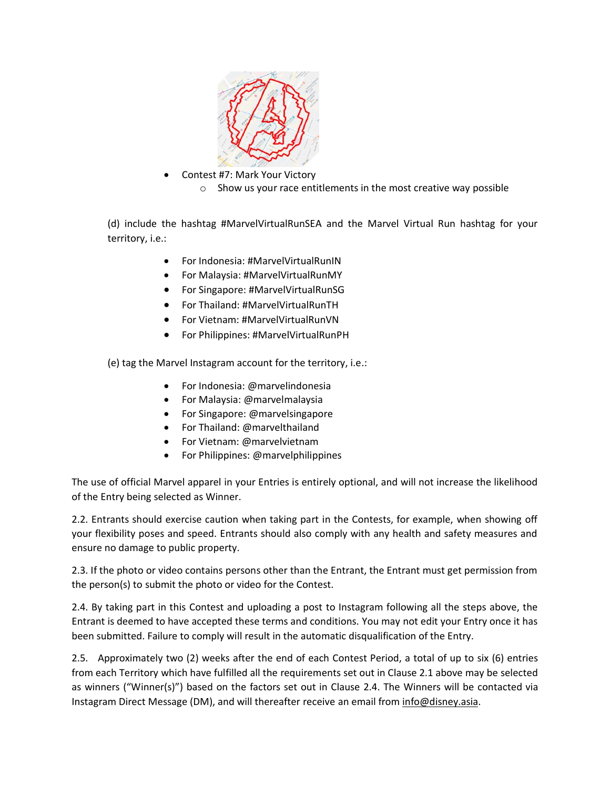

- Contest #7: Mark Your Victory
	- o Show us your race entitlements in the most creative way possible

(d) include the hashtag #MarvelVirtualRunSEA and the Marvel Virtual Run hashtag for your territory, i.e.:

- For Indonesia: #MarvelVirtualRunIN
- For Malaysia: #MarvelVirtualRunMY
- For Singapore: #MarvelVirtualRunSG
- For Thailand: #MarvelVirtualRunTH
- For Vietnam: #MarvelVirtualRunVN
- For Philippines: #MarvelVirtualRunPH

(e) tag the Marvel Instagram account for the territory, i.e.:

- For Indonesia: @marvelindonesia
- For Malaysia: @marvelmalaysia
- For Singapore: @marvelsingapore
- For Thailand: @marvelthailand
- For Vietnam: @marvelvietnam
- For Philippines: @marvelphilippines

The use of official Marvel apparel in your Entries is entirely optional, and will not increase the likelihood of the Entry being selected as Winner.

2.2. Entrants should exercise caution when taking part in the Contests, for example, when showing off your flexibility poses and speed. Entrants should also comply with any health and safety measures and ensure no damage to public property.

2.3. If the photo or video contains persons other than the Entrant, the Entrant must get permission from the person(s) to submit the photo or video for the Contest.

2.4. By taking part in this Contest and uploading a post to Instagram following all the steps above, the Entrant is deemed to have accepted these terms and conditions. You may not edit your Entry once it has been submitted. Failure to comply will result in the automatic disqualification of the Entry.

2.5. Approximately two (2) weeks after the end of each Contest Period, a total of up to six (6) entries from each Territory which have fulfilled all the requirements set out in Clause 2.1 above may be selected as winners ("Winner(s)") based on the factors set out in Clause 2.4. The Winners will be contacted via Instagram Direct Message (DM), and will thereafter receive an email from [info@disney.asia.](mailto:info@disney.asia)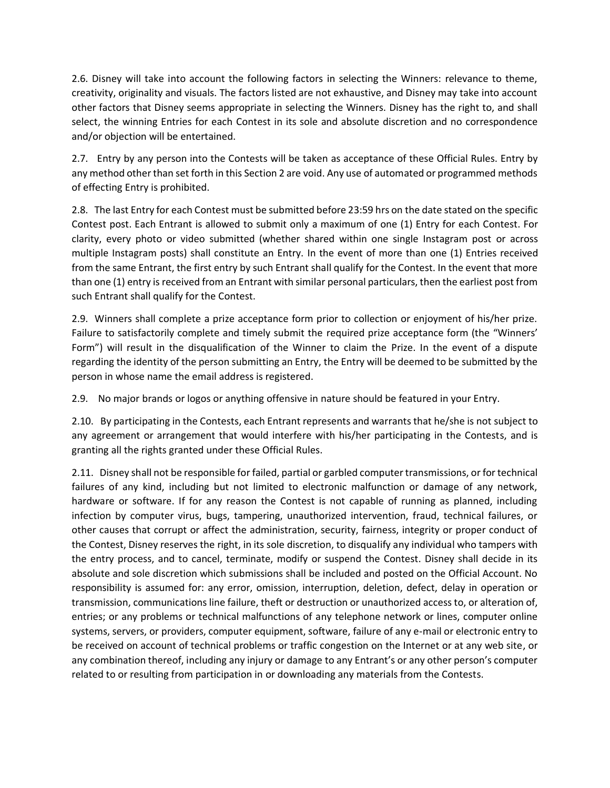2.6. Disney will take into account the following factors in selecting the Winners: relevance to theme, creativity, originality and visuals. The factors listed are not exhaustive, and Disney may take into account other factors that Disney seems appropriate in selecting the Winners. Disney has the right to, and shall select, the winning Entries for each Contest in its sole and absolute discretion and no correspondence and/or objection will be entertained.

2.7. Entry by any person into the Contests will be taken as acceptance of these Official Rules. Entry by any method other than set forth in this Section 2 are void. Any use of automated or programmed methods of effecting Entry is prohibited.

2.8. The last Entry for each Contest must be submitted before 23:59 hrs on the date stated on the specific Contest post. Each Entrant is allowed to submit only a maximum of one (1) Entry for each Contest. For clarity, every photo or video submitted (whether shared within one single Instagram post or across multiple Instagram posts) shall constitute an Entry. In the event of more than one (1) Entries received from the same Entrant, the first entry by such Entrant shall qualify for the Contest. In the event that more than one (1) entry is received from an Entrant with similar personal particulars, then the earliest post from such Entrant shall qualify for the Contest.

2.9. Winners shall complete a prize acceptance form prior to collection or enjoyment of his/her prize. Failure to satisfactorily complete and timely submit the required prize acceptance form (the "Winners' Form") will result in the disqualification of the Winner to claim the Prize. In the event of a dispute regarding the identity of the person submitting an Entry, the Entry will be deemed to be submitted by the person in whose name the email address is registered.

2.9. No major brands or logos or anything offensive in nature should be featured in your Entry.

2.10. By participating in the Contests, each Entrant represents and warrants that he/she is not subject to any agreement or arrangement that would interfere with his/her participating in the Contests, and is granting all the rights granted under these Official Rules.

2.11. Disney shall not be responsible for failed, partial or garbled computer transmissions, or for technical failures of any kind, including but not limited to electronic malfunction or damage of any network, hardware or software. If for any reason the Contest is not capable of running as planned, including infection by computer virus, bugs, tampering, unauthorized intervention, fraud, technical failures, or other causes that corrupt or affect the administration, security, fairness, integrity or proper conduct of the Contest, Disney reserves the right, in its sole discretion, to disqualify any individual who tampers with the entry process, and to cancel, terminate, modify or suspend the Contest. Disney shall decide in its absolute and sole discretion which submissions shall be included and posted on the Official Account. No responsibility is assumed for: any error, omission, interruption, deletion, defect, delay in operation or transmission, communications line failure, theft or destruction or unauthorized access to, or alteration of, entries; or any problems or technical malfunctions of any telephone network or lines, computer online systems, servers, or providers, computer equipment, software, failure of any e-mail or electronic entry to be received on account of technical problems or traffic congestion on the Internet or at any web site, or any combination thereof, including any injury or damage to any Entrant's or any other person's computer related to or resulting from participation in or downloading any materials from the Contests.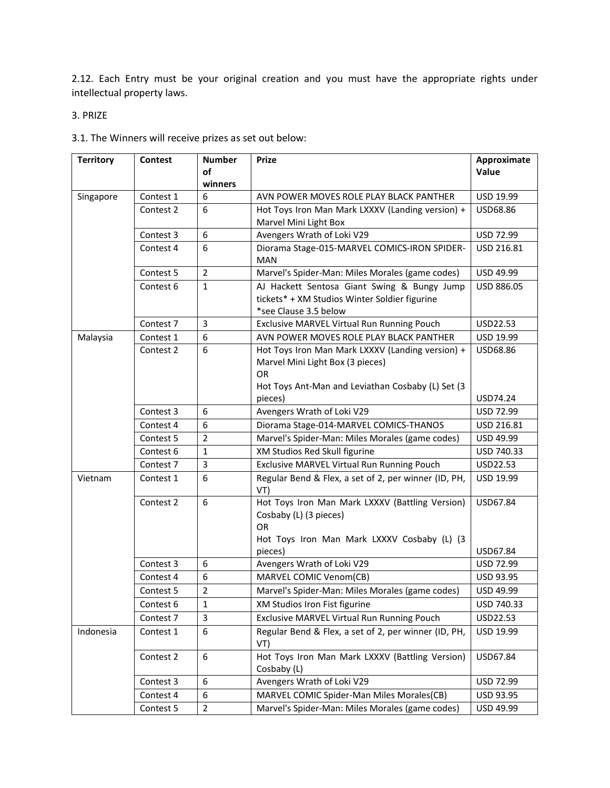2.12. Each Entry must be your original creation and you must have the appropriate rights under intellectual property laws.

3. PRIZE

| 3.1. The Winners will receive prizes as set out below: |  |
|--------------------------------------------------------|--|
|--------------------------------------------------------|--|

| <b>Territory</b> | <b>Contest</b> | <b>Number</b>  | <b>Prize</b>                                                                                                          | Approximate |
|------------------|----------------|----------------|-----------------------------------------------------------------------------------------------------------------------|-------------|
|                  |                | of             |                                                                                                                       | Value       |
|                  |                | winners        |                                                                                                                       |             |
| Singapore        | Contest 1      | 6              | AVN POWER MOVES ROLE PLAY BLACK PANTHER                                                                               | USD 19.99   |
|                  | Contest 2      | 6              | Hot Toys Iron Man Mark LXXXV (Landing version) +                                                                      | USD68.86    |
|                  |                |                | Marvel Mini Light Box                                                                                                 |             |
|                  | Contest 3      | 6              | Avengers Wrath of Loki V29                                                                                            | USD 72.99   |
|                  | Contest 4      | 6              | Diorama Stage-015-MARVEL COMICS-IRON SPIDER-<br><b>MAN</b>                                                            | USD 216.81  |
|                  | Contest 5      | $\overline{2}$ | Marvel's Spider-Man: Miles Morales (game codes)                                                                       | USD 49.99   |
|                  | Contest 6      | $\mathbf{1}$   | AJ Hackett Sentosa Giant Swing & Bungy Jump<br>tickets* + XM Studios Winter Soldier figurine<br>*see Clause 3.5 below | USD 886.05  |
|                  | Contest 7      | 3              | Exclusive MARVEL Virtual Run Running Pouch                                                                            | USD22.53    |
| Malaysia         | Contest 1      | 6              | AVN POWER MOVES ROLE PLAY BLACK PANTHER                                                                               | USD 19.99   |
|                  | Contest 2      | 6              | Hot Toys Iron Man Mark LXXXV (Landing version) +                                                                      | USD68.86    |
|                  |                |                | Marvel Mini Light Box (3 pieces)                                                                                      |             |
|                  |                |                | OR                                                                                                                    |             |
|                  |                |                | Hot Toys Ant-Man and Leviathan Cosbaby (L) Set (3                                                                     |             |
|                  |                |                | pieces)                                                                                                               | USD74.24    |
|                  | Contest 3      | 6              | Avengers Wrath of Loki V29                                                                                            | USD 72.99   |
|                  | Contest 4      | 6              | Diorama Stage-014-MARVEL COMICS-THANOS                                                                                | USD 216.81  |
|                  | Contest 5      | $\overline{2}$ | Marvel's Spider-Man: Miles Morales (game codes)                                                                       | USD 49.99   |
|                  | Contest 6      | $\mathbf{1}$   | XM Studios Red Skull figurine                                                                                         | USD 740.33  |
|                  | Contest 7      | 3              | Exclusive MARVEL Virtual Run Running Pouch                                                                            | USD22.53    |
| Vietnam          | Contest 1      | 6              | Regular Bend & Flex, a set of 2, per winner (ID, PH,<br>VT)                                                           | USD 19.99   |
|                  | Contest 2      | 6              | Hot Toys Iron Man Mark LXXXV (Battling Version)                                                                       | USD67.84    |
|                  |                |                | Cosbaby (L) (3 pieces)                                                                                                |             |
|                  |                |                | <b>OR</b>                                                                                                             |             |
|                  |                |                | Hot Toys Iron Man Mark LXXXV Cosbaby (L) (3<br>pieces)                                                                | USD67.84    |
|                  | Contest 3      | 6              | Avengers Wrath of Loki V29                                                                                            | USD 72.99   |
|                  | Contest 4      | 6              | MARVEL COMIC Venom(CB)                                                                                                | USD 93.95   |
|                  | Contest 5      | $\overline{2}$ | Marvel's Spider-Man: Miles Morales (game codes)                                                                       | USD 49.99   |
|                  | Contest 6      | $\mathbf{1}$   | XM Studios Iron Fist figurine                                                                                         | USD 740.33  |
|                  | Contest 7      | 3              | Exclusive MARVEL Virtual Run Running Pouch                                                                            | USD22.53    |
| Indonesia        | Contest 1      | 6              | Regular Bend & Flex, a set of 2, per winner (ID, PH,                                                                  | USD 19.99   |
|                  |                |                | VT)                                                                                                                   |             |
|                  | Contest 2      | 6              | Hot Toys Iron Man Mark LXXXV (Battling Version)<br>Cosbaby (L)                                                        | USD67.84    |
|                  | Contest 3      | 6              | Avengers Wrath of Loki V29                                                                                            | USD 72.99   |
|                  | Contest 4      | 6              | MARVEL COMIC Spider-Man Miles Morales(CB)                                                                             | USD 93.95   |
|                  | Contest 5      | $\overline{2}$ | Marvel's Spider-Man: Miles Morales (game codes)                                                                       | USD 49.99   |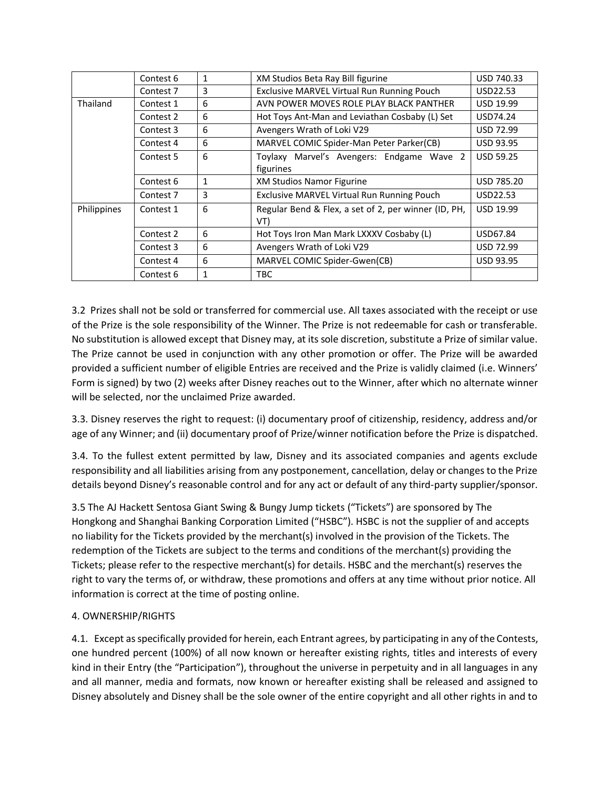|             | Contest 6 | 1            | XM Studios Beta Ray Bill figurine                           | USD 740.33       |
|-------------|-----------|--------------|-------------------------------------------------------------|------------------|
|             | Contest 7 | 3            | Exclusive MARVEL Virtual Run Running Pouch                  | USD22.53         |
| Thailand    | Contest 1 | 6            | AVN POWER MOVES ROLE PLAY BLACK PANTHER                     | <b>USD 19.99</b> |
|             | Contest 2 | 6            | Hot Toys Ant-Man and Leviathan Cosbaby (L) Set              | USD74.24         |
|             | Contest 3 | 6            | Avengers Wrath of Loki V29                                  | <b>USD 72.99</b> |
|             | Contest 4 | 6            | MARVEL COMIC Spider-Man Peter Parker(CB)                    | <b>USD 93.95</b> |
|             | Contest 5 | 6            | Toylaxy Marvel's Avengers: Endgame Wave 2                   | <b>USD 59.25</b> |
|             |           |              | figurines                                                   |                  |
|             | Contest 6 | $\mathbf{1}$ | <b>XM Studios Namor Figurine</b>                            | USD 785.20       |
|             | Contest 7 | 3            | Exclusive MARVEL Virtual Run Running Pouch                  | USD22.53         |
| Philippines | Contest 1 | 6            | Regular Bend & Flex, a set of 2, per winner (ID, PH,<br>VT) | <b>USD 19.99</b> |
|             | Contest 2 | 6            | Hot Toys Iron Man Mark LXXXV Cosbaby (L)                    | USD67.84         |
|             | Contest 3 | 6            | Avengers Wrath of Loki V29                                  | <b>USD 72.99</b> |
|             | Contest 4 | 6            | MARVEL COMIC Spider-Gwen(CB)                                | <b>USD 93.95</b> |
|             | Contest 6 | 1            | TBC                                                         |                  |

3.2 Prizes shall not be sold or transferred for commercial use. All taxes associated with the receipt or use of the Prize is the sole responsibility of the Winner. The Prize is not redeemable for cash or transferable. No substitution is allowed except that Disney may, at its sole discretion, substitute a Prize of similar value. The Prize cannot be used in conjunction with any other promotion or offer. The Prize will be awarded provided a sufficient number of eligible Entries are received and the Prize is validly claimed (i.e. Winners' Form is signed) by two (2) weeks after Disney reaches out to the Winner, after which no alternate winner will be selected, nor the unclaimed Prize awarded.

3.3. Disney reserves the right to request: (i) documentary proof of citizenship, residency, address and/or age of any Winner; and (ii) documentary proof of Prize/winner notification before the Prize is dispatched.

3.4. To the fullest extent permitted by law, Disney and its associated companies and agents exclude responsibility and all liabilities arising from any postponement, cancellation, delay or changes to the Prize details beyond Disney's reasonable control and for any act or default of any third-party supplier/sponsor.

3.5 The AJ Hackett Sentosa Giant Swing & Bungy Jump tickets ("Tickets") are sponsored by The Hongkong and Shanghai Banking Corporation Limited ("HSBC"). HSBC is not the supplier of and accepts no liability for the Tickets provided by the merchant(s) involved in the provision of the Tickets. The redemption of the Tickets are subject to the terms and conditions of the merchant(s) providing the Tickets; please refer to the respective merchant(s) for details. HSBC and the merchant(s) reserves the right to vary the terms of, or withdraw, these promotions and offers at any time without prior notice. All information is correct at the time of posting online.

## 4. OWNERSHIP/RIGHTS

4.1. Except as specifically provided for herein, each Entrant agrees, by participating in any of the Contests, one hundred percent (100%) of all now known or hereafter existing rights, titles and interests of every kind in their Entry (the "Participation"), throughout the universe in perpetuity and in all languages in any and all manner, media and formats, now known or hereafter existing shall be released and assigned to Disney absolutely and Disney shall be the sole owner of the entire copyright and all other rights in and to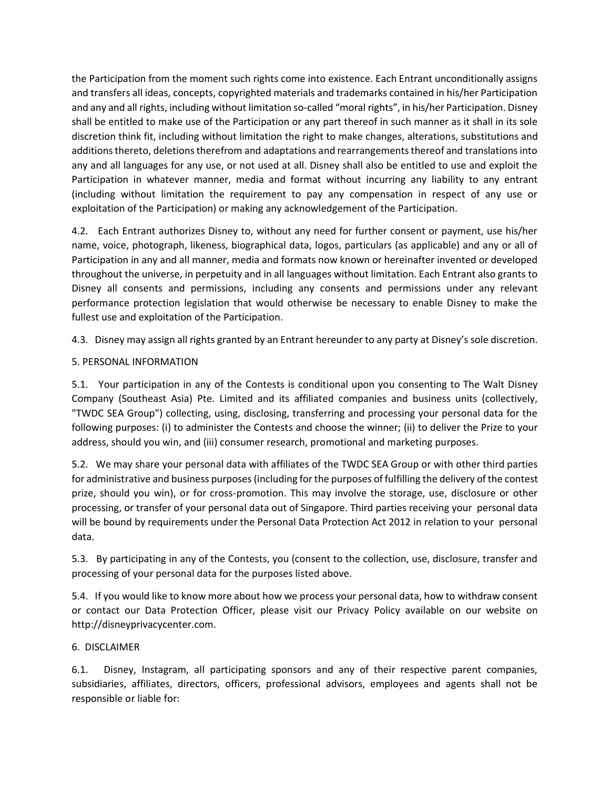the Participation from the moment such rights come into existence. Each Entrant unconditionally assigns and transfers all ideas, concepts, copyrighted materials and trademarks contained in his/her Participation and any and all rights, including without limitation so-called "moral rights", in his/her Participation. Disney shall be entitled to make use of the Participation or any part thereof in such manner as it shall in its sole discretion think fit, including without limitation the right to make changes, alterations, substitutions and additions thereto, deletions therefrom and adaptations and rearrangements thereof and translations into any and all languages for any use, or not used at all. Disney shall also be entitled to use and exploit the Participation in whatever manner, media and format without incurring any liability to any entrant (including without limitation the requirement to pay any compensation in respect of any use or exploitation of the Participation) or making any acknowledgement of the Participation.

4.2. Each Entrant authorizes Disney to, without any need for further consent or payment, use his/her name, voice, photograph, likeness, biographical data, logos, particulars (as applicable) and any or all of Participation in any and all manner, media and formats now known or hereinafter invented or developed throughout the universe, in perpetuity and in all languages without limitation. Each Entrant also grants to Disney all consents and permissions, including any consents and permissions under any relevant performance protection legislation that would otherwise be necessary to enable Disney to make the fullest use and exploitation of the Participation.

4.3. Disney may assign all rights granted by an Entrant hereunder to any party at Disney's sole discretion.

## 5. PERSONAL INFORMATION

5.1. Your participation in any of the Contests is conditional upon you consenting to The Walt Disney Company (Southeast Asia) Pte. Limited and its affiliated companies and business units (collectively, "TWDC SEA Group") collecting, using, disclosing, transferring and processing your personal data for the following purposes: (i) to administer the Contests and choose the winner; (ii) to deliver the Prize to your address, should you win, and (iii) consumer research, promotional and marketing purposes.

5.2. We may share your personal data with affiliates of the TWDC SEA Group or with other third parties for administrative and business purposes(including for the purposes of fulfilling the delivery of the contest prize, should you win), or for cross-promotion. This may involve the storage, use, disclosure or other processing, or transfer of your personal data out of Singapore. Third parties receiving your personal data will be bound by requirements under the Personal Data Protection Act 2012 in relation to your personal data.

5.3. By participating in any of the Contests, you (consent to the collection, use, disclosure, transfer and processing of your personal data for the purposes listed above.

5.4. If you would like to know more about how we process your personal data, how to withdraw consent or contact our Data Protection Officer, please visit our Privacy Policy available on our website on http://disneyprivacycenter.com.

## 6. DISCLAIMER

6.1. Disney, Instagram, all participating sponsors and any of their respective parent companies, subsidiaries, affiliates, directors, officers, professional advisors, employees and agents shall not be responsible or liable for: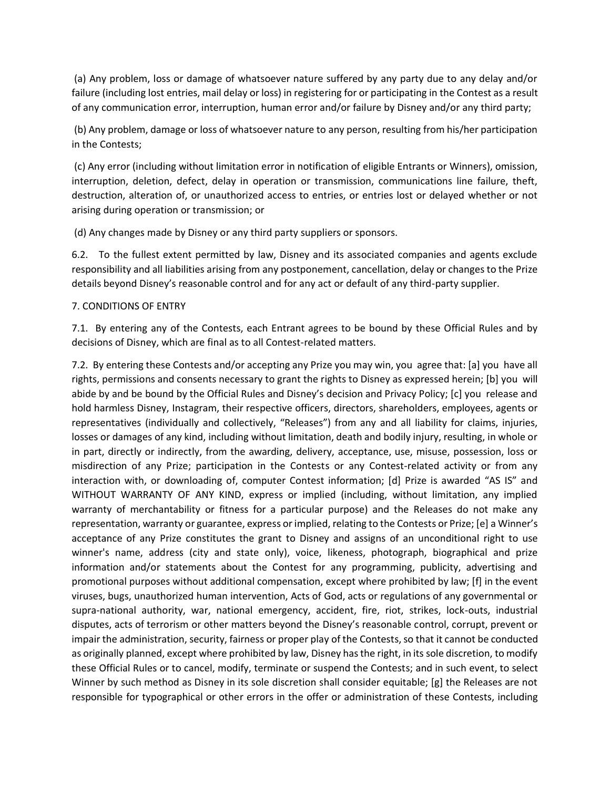(a) Any problem, loss or damage of whatsoever nature suffered by any party due to any delay and/or failure (including lost entries, mail delay or loss) in registering for or participating in the Contest as a result of any communication error, interruption, human error and/or failure by Disney and/or any third party;

(b) Any problem, damage or loss of whatsoever nature to any person, resulting from his/her participation in the Contests;

(c) Any error (including without limitation error in notification of eligible Entrants or Winners), omission, interruption, deletion, defect, delay in operation or transmission, communications line failure, theft, destruction, alteration of, or unauthorized access to entries, or entries lost or delayed whether or not arising during operation or transmission; or

(d) Any changes made by Disney or any third party suppliers or sponsors.

6.2. To the fullest extent permitted by law, Disney and its associated companies and agents exclude responsibility and all liabilities arising from any postponement, cancellation, delay or changes to the Prize details beyond Disney's reasonable control and for any act or default of any third-party supplier.

### 7. CONDITIONS OF ENTRY

7.1. By entering any of the Contests, each Entrant agrees to be bound by these Official Rules and by decisions of Disney, which are final as to all Contest-related matters.

7.2. By entering these Contests and/or accepting any Prize you may win, you agree that: [a] you have all rights, permissions and consents necessary to grant the rights to Disney as expressed herein; [b] you will abide by and be bound by the Official Rules and Disney's decision and Privacy Policy; [c] you release and hold harmless Disney, Instagram, their respective officers, directors, shareholders, employees, agents or representatives (individually and collectively, "Releases") from any and all liability for claims, injuries, losses or damages of any kind, including without limitation, death and bodily injury, resulting, in whole or in part, directly or indirectly, from the awarding, delivery, acceptance, use, misuse, possession, loss or misdirection of any Prize; participation in the Contests or any Contest-related activity or from any interaction with, or downloading of, computer Contest information; [d] Prize is awarded "AS IS" and WITHOUT WARRANTY OF ANY KIND, express or implied (including, without limitation, any implied warranty of merchantability or fitness for a particular purpose) and the Releases do not make any representation, warranty or guarantee, express or implied, relating to the Contests or Prize; [e] a Winner's acceptance of any Prize constitutes the grant to Disney and assigns of an unconditional right to use winner's name, address (city and state only), voice, likeness, photograph, biographical and prize information and/or statements about the Contest for any programming, publicity, advertising and promotional purposes without additional compensation, except where prohibited by law; [f] in the event viruses, bugs, unauthorized human intervention, Acts of God, acts or regulations of any governmental or supra-national authority, war, national emergency, accident, fire, riot, strikes, lock-outs, industrial disputes, acts of terrorism or other matters beyond the Disney's reasonable control, corrupt, prevent or impair the administration, security, fairness or proper play of the Contests, so that it cannot be conducted as originally planned, except where prohibited by law, Disney has the right, in its sole discretion, to modify these Official Rules or to cancel, modify, terminate or suspend the Contests; and in such event, to select Winner by such method as Disney in its sole discretion shall consider equitable; [g] the Releases are not responsible for typographical or other errors in the offer or administration of these Contests, including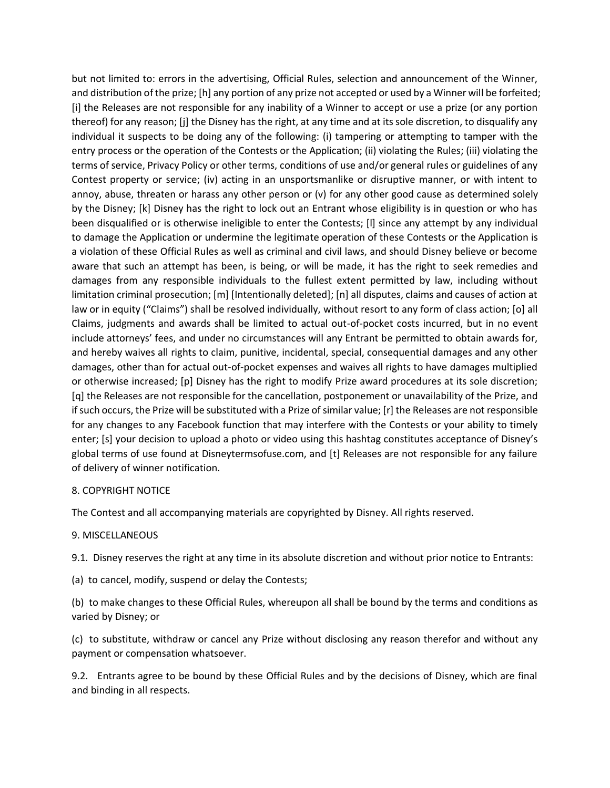but not limited to: errors in the advertising, Official Rules, selection and announcement of the Winner, and distribution of the prize; [h] any portion of any prize not accepted or used by a Winner will be forfeited; [i] the Releases are not responsible for any inability of a Winner to accept or use a prize (or any portion thereof) for any reason; [j] the Disney has the right, at any time and at its sole discretion, to disqualify any individual it suspects to be doing any of the following: (i) tampering or attempting to tamper with the entry process or the operation of the Contests or the Application; (ii) violating the Rules; (iii) violating the terms of service, Privacy Policy or other terms, conditions of use and/or general rules or guidelines of any Contest property or service; (iv) acting in an unsportsmanlike or disruptive manner, or with intent to annoy, abuse, threaten or harass any other person or  $(v)$  for any other good cause as determined solely by the Disney; [k] Disney has the right to lock out an Entrant whose eligibility is in question or who has been disqualified or is otherwise ineligible to enter the Contests; [l] since any attempt by any individual to damage the Application or undermine the legitimate operation of these Contests or the Application is a violation of these Official Rules as well as criminal and civil laws, and should Disney believe or become aware that such an attempt has been, is being, or will be made, it has the right to seek remedies and damages from any responsible individuals to the fullest extent permitted by law, including without limitation criminal prosecution; [m] [Intentionally deleted]; [n] all disputes, claims and causes of action at law or in equity ("Claims") shall be resolved individually, without resort to any form of class action; [o] all Claims, judgments and awards shall be limited to actual out-of-pocket costs incurred, but in no event include attorneys' fees, and under no circumstances will any Entrant be permitted to obtain awards for, and hereby waives all rights to claim, punitive, incidental, special, consequential damages and any other damages, other than for actual out-of-pocket expenses and waives all rights to have damages multiplied or otherwise increased; [p] Disney has the right to modify Prize award procedures at its sole discretion; [q] the Releases are not responsible for the cancellation, postponement or unavailability of the Prize, and if such occurs, the Prize will be substituted with a Prize of similar value; [r] the Releases are not responsible for any changes to any Facebook function that may interfere with the Contests or your ability to timely enter; [s] your decision to upload a photo or video using this hashtag constitutes acceptance of Disney's global terms of use found at Disneytermsofuse.com, and [t] Releases are not responsible for any failure of delivery of winner notification.

#### 8. COPYRIGHT NOTICE

The Contest and all accompanying materials are copyrighted by Disney. All rights reserved.

#### 9. MISCELLANEOUS

9.1. Disney reserves the right at any time in its absolute discretion and without prior notice to Entrants:

(a) to cancel, modify, suspend or delay the Contests;

(b) to make changes to these Official Rules, whereupon all shall be bound by the terms and conditions as varied by Disney; or

(c) to substitute, withdraw or cancel any Prize without disclosing any reason therefor and without any payment or compensation whatsoever.

9.2. Entrants agree to be bound by these Official Rules and by the decisions of Disney, which are final and binding in all respects.